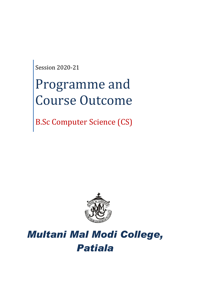Session 2020-21

# Programme and Course Outcome

B.Sc Computer Science (CS)



# *Multani Mal Modi College, Patiala*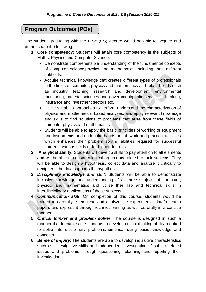# **Program Outcomes (POs)**

The student graduating with the B.Sc (CS) degree would be able to acquire and demonstrate the following:

- **1. Core competency:** Students will attain core competency in the subjects of Maths, Physics and Computer Science.
	- Demonstrate comprehensible understanding of the fundamental concepts of computer science,physics and mathematics including their different subfields.
	- Acquire technical knowledge that creates different types of professionals in the fields of computer, physics and mathematics and related fields such as industry, teaching, research and development, environmental monitoring, material sciences and government/public service, in banking, insurance and investment sectors etc.
	- Utilize suitable approaches to perform understand the characterization of physics and mathematical based analyses; and apply relevant knowledge and skills to find solutions to problems that arise from these fields of computer physics and mathematics.
	- Students will be able to apply the basic principles of working of equipment and instruments and undertake hands on lab work and practical activities which enhances their problem solving abilities required for successful career in various fields or for higher degrees.
- **2. Analytical ability:** Students will develop skills to pay attention to all elements and will be able to construct logical arguments related to their subjects. They will be able to design a hypothesis, collect data and analyze it critically to decipher if the data supports the hypothesis.
- **3.** *Disciplinary knowledge and skill*: Students will be able to demonstrate inclusive knowledge and understanding of all three subjects of computer, physics, and mathematics and utilize their lab and technical skills in interdisciplinary applications of these subjects.
- **4.** C*ommunication skill*: On completion of this course, students would be trained to carefully listen, read and analyze the experimental data/research papers and express it through technical writing as well as orally in a concise manner.
- **5.** *Critical thinker and problem solver*: The course is designed in such a manner that it enables the students to develop critical thinking ability required to solve inter-disciplinary problems/numerical using basic knowledge and concepts.
- **6.** *Sense of inquiry*: The students are able to develop inquisitive characteristics such as investigative skills and independent investigation of subject-related issues and problems through questioning, planning and reporting their investigation.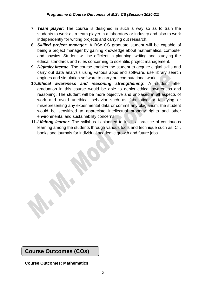- **7.** *Team player*: The course is designed in such a way so as to train the students to work as a team player in a laboratory or industry and also to work independently for writing projects and carrying out research.
- **8.** *Skilled project manager*: A BSc CS graduate student will be capable of being a project manager by gaining knowledge about mathematics, computer and physics. Student will be efficient in planning, writing and studying the ethical standards and rules concerning to scientific project management.
- **9.** *Digitally literate*: The course enables the student to acquire digital skills and carry out data analysis using various apps and software, use library search engines and simulation software to carry out computational work.
- **10.***Ethical awareness and reasoning strengthening*: A student after graduation in this course would be able to depict ethical awareness and reasoning. The student will be more objective and unbiased in all aspects of work and avoid unethical behavior such as fabricating or falsifying or misrepresenting any experimental data or commit any plagiarism; the student would be sensitized to appreciate intellectual property rights and other environmental and sustainability concerns.
- **11.***Lifelong learner*: The syllabus is planned to instill a practice of continuous learning among the students through various tools and technique such as ICT, books and journals for individual academic growth and future jobs.

**Course Outcomes (COs)**

**Course Outcomes: Mathematics**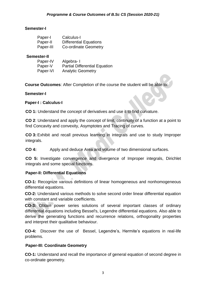#### **Semester-I**

| Paper-I   | Calculus-I                    |
|-----------|-------------------------------|
| Paper-II  | <b>Differential Equations</b> |
| Paper-III | <b>Co-ordinate Geometry</b>   |

#### **Semester-II**

| Paper-IV | Algebra-I                            |
|----------|--------------------------------------|
| Paper-V  | <b>Partial Differential Equation</b> |
| Paper-VI | <b>Analytic Geometry</b>             |

**Course Outcomes**: After Completion of the course the student will be able to:

#### **Semester-I**

#### **Paper-I : Calculus-I**

**CO 1:** Understand the concept of derivatives and use it to find curvature.

**CO 2**: Understand and apply the concept of limit, continuity of a function at a point to find Concavity and convexity, Asymptotes and Tracing of curves.

**CO 3:** Exhibit and recall previous learning in integrals and use to study Improper integrals.

**CO 4:** Apply and deduce Area and volume of two dimensional surfaces.

**CO 5:** Investigate convergence and divergence of Improper integrals, Dirichlet integrals and some special functions.

#### **Paper-II: Differential Equations**

**CO-1:** Recognize various definitions of linear homogeneous and nonhomogeneous differential equations.

**CO-2:** Understand various methods to solve second order linear differential equation with constant and variable coefficients.

**CO-3:** Obtain power series solutions of several important classes of ordinary differential equations including Bessel's, Legendre differential equations. Also able to derive the generating functions and recurrence relations, orthogonality properties and interpret their qualitative behaviour.

**CO-4:** Discover the use of Bessel, Legendre's, Hermite's equations in real-life problems.

#### **Paper-III: Coordinate Geometry**

**CO-1:** Understand and recall the importance of general equation of second degree in co-ordinate geometry.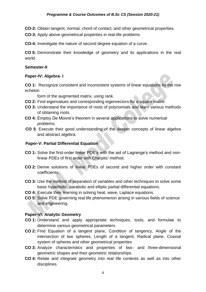**CO-2:** Obtain tangent, normal, chord of contact, and other geometrical properties.

**CO-3:** Apply above geometrical properties in real-life problems

**CO-4:** Investigate the nature of second degree equation of a curve.

**CO 5:** Demonstrate their knowledge of geometry and its applications in the real world.

#### **Semester-II**

#### **Paper-IV: Algebra- I**

**CO 1:** Recognize consistent and inconsistent systems of linear equations by the row echelon

form of the augmented matrix, using rank.

- **CO 2:** Find eigenvalues and corresponding eigenvectors for a square matrix
- **CO 3:** Understand the importance of roots of polynomials and learn various methods of obtaining roots.
- **CO 4:** Employ De Moivre's theorem in several applications to solve numerical problems.
- **CO 5**: Execute their good understanding of the deeper concepts of linear algebra and abstract algebra.

#### **Paper-V: Partial Differential Equation**

- **CO 1:** Solve the first-order linear PDE's with the aid of Lagrange's method and nonlinear PDEs of first order with Charpits' method.
- **CO 2:** Derive solutions of linear PDEs of second and higher order with constant coefficients.
- **CO 3:** Use the method of separation of variables and other techniques to solve some basic hyperbolic, parabolic and elliptic partial differential equations.
- **CO 4:** Execute their learning in solving heat, wave, Laplace equations.
- **CO 5**: Solve PDE governing real life phenomenon arising in various fields of science and engineering.

#### **Paper-VI: Analytic Geometry**

- **CO 1:** Understand and apply appropriate techniques, tools, and formulae to determine various geometrical parameters.
- **CO 2:** Find Equation of a tangent plane, Condition of tangency, Angle of the intersection of two spheres, Length of a tangent, Radical plane, Coaxial system of spheres and other geometrical properties
- **CO 3:** Analyze characteristics and properties of two- and three-dimensional geometric shapes and their geometric relationships.
- **CO 4:** Relate and integrate geometry into real life contexts as well as into other disciplines.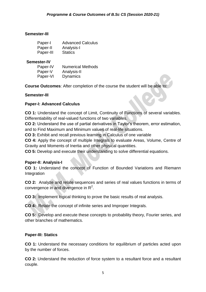#### **Semester-III**

| Paper-I   | <b>Advanced Calculus</b> |
|-----------|--------------------------|
| Paper-II  | Analysis-I               |
| Paper-III | <b>Statics</b>           |

#### **Semester-IV**

| Paper-IV | <b>Numerical Methods</b> |
|----------|--------------------------|
| Paper-V  | Analysis-II              |
| Paper-VI | <b>Dynamics</b>          |

**Course Outcomes**: After completion of the course the student will be able to:

#### **Semester-III**

#### **Paper-I: Advanced Calculus**

**CO 1:** Understand the concept of Limit, Continuity of Functions of several variables. Differentiability of real-valued functions of two variables.

**CO 2:** Understand the use of partial derivatives in Taylor's theorem, error estimation, and to Find Maximum and Minimum values of real-life situations.

**CO 3:** Exhibit and recall previous learning in Calculus of one variable

**CO 4:** Apply the concept of multiple Integrals to evaluate Areas, Volume, Centre of Gravity and Moments of Inertia and other physical quantities.

**CO 5:** Develop and execute their understanding to solve differential equations.

#### **Paper-II: Analysis-I**

**CO 1:** Understand the concept of Function of Bounded Variations and Riemann **Integration** 

**CO 2:** Analyze and relate sequences and series of real values functions in terms of convergence in and divergence in  $\mathsf{R}^2$ .

**CO 3:** Implement logical thinking to prove the basic results of real analysis.

**CO 4:** Relate the concept of infinite series and Improper Integrals.

**CO 5:** Develop and execute these concepts to probability theory, Fourier series, and other branches of mathematics.

#### **Paper-III: Statics**

**CO 1:** Understand the necessary conditions for equilibrium of particles acted upon by the number of forces.

**CO 2:** Understand the reduction of force system to a resultant force and a resultant couple.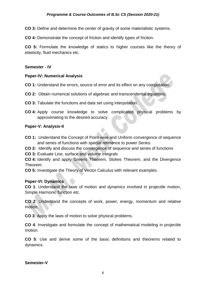**CO 3:** Define and determine the center of gravity of some materialistic systems.

**CO 4:** Demonstrate the concept of friction and identify types of friction.

**CO 5:** Formulate the knowledge of statics to higher courses like the theory of elasticity, fluid mechanics etc.

#### **Semester - IV**

#### **Paper-IV: Numerical Analysis**

- **CO 1:** Understand the errors, source of error and its effect on any computation.
- **CO 2:** Obtain numerical solutions of algebraic and transcendental equations.
- **CO 3:** Tabulate the functions and data set using interpolation.
- **CO 4:** Apply course knowledge to solve complicated physical problems by approximating to the desired accuracy.

#### **Paper-V: Analysis-II**

- **CO 1:** Understand the Concept of Point-wise and Uniform convergence of sequence and series of functions with special reference to power Series.
- **CO 2:** Identify and discuss the convergence of sequence and series of functions
- **CO 3:** Evaluate Line, surface and volume integrals

**CO 4:** Identify and apply Greens Theorem, Stokes Theorem, and the Divergence Theorem.

**CO 5:** Investigate the Theory of Vector Calculus with relevant examples.

#### **Paper-VI: Dynamics**

**CO 1**: Understand the laws of motion and dynamics involved in projectile motion, Simple Harmonic function etc.

**CO 2**: Understand the concepts of work, power, energy, momentum and relative motion.

**CO 3**: Apply the laws of motion to solve physical problems.

**CO 4**: Investigate and formulate the concept of mathematical modeling in projectile motion.

**CO 5**: Use and derive some of the basic definitions and theorems related to dynamics.

#### **Semester-V**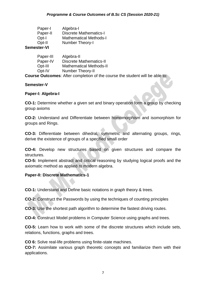| Paper-I     | Algebra-I                     |
|-------------|-------------------------------|
| Paper-II    | <b>Discrete Mathematics-I</b> |
| Opt-I       | <b>Mathematical Methods-I</b> |
| Opt-II      | Number Theory-I               |
| Semester-VI |                               |

| Paper-III | Algebra-II                     |
|-----------|--------------------------------|
| Paper-IV  | <b>Discrete Mathematics-II</b> |
| Opt-III   | <b>Mathematical Methods-II</b> |
| Opt-IV    | <b>Number Theory-II</b>        |
|           |                                |

**Course Outcomes**: After completion of the course the student will be able to:

#### **Semester-V**

#### **Paper-I: Algebra-I**

**CO-1:** Determine whether a given set and binary operation form a group by checking group axioms

**CO-2:** Understand and Differentiate between homomorphism and isomorphism for groups and Rings.

**CO-3:** Differentiate between dihedral, symmetric and alternating groups, rings, derive the existence of groups of a specified small order

**CO-4:** Develop new structures based on given structures and compare the structures.

**CO-5:** Implement abstract and critical reasoning by studying logical proofs and the axiomatic method as applied to modern algebra.

#### **Paper-II: Discrete Mathematics-1**

**CO-1:** Understand and Define basic notations in graph theory & trees.

**CO-2:** Construct the Passwords by using the techniques of counting principles

**CO-3:** Use the shortest path algorithm to determine the fastest driving routes.

**CO-4:** Construct Model problems in Computer Science using graphs and trees.

**CO-5:** Learn how to work with some of the discrete structures which include sets, relations, functions, graphs and trees.

**CO 6:** Solve real-life problems using finite-state machines.

**CO-7:** Assimilate various graph theoretic concepts and familiarize them with their applications.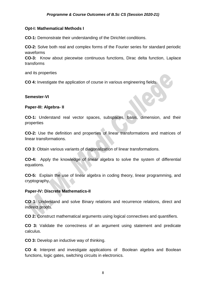#### **Opt-I: Mathematical Methods I**

**CO-1:** Demonstrate their understanding of the Dirichlet conditions.

**CO-2:** Solve both real and complex forms of the Fourier series for standard periodic waveforms

**CO-3:** Know about piecewise continuous functions, Dirac delta function, Laplace transforms

and its properties

**CO 4:** Investigate the application of course in various engineering fields.

#### **Semester-VI**

#### **Paper-III: Algebra- II**

**CO-1:** Understand real vector spaces, subspaces, basis, dimension, and their properties

**CO-2:** Use the definition and properties of linear transformations and matrices of linear transformations.

**CO 3**: Obtain various variants of diagonalization of linear transformations.

**CO-4:** Apply the knowledge of linear algebra to solve the system of differential equations.

**CO-5:** Explain the use of linear algebra in coding theory, linear programming, and cryptography.

#### **Paper-IV: Discrete Mathematics-II**

**CO 1:** Understand and solve Binary relations and recurrence relations, direct and indirect proofs.

**CO 2:** Construct mathematical arguments using logical connectives and quantifiers.

**CO 3:** Validate the correctness of an argument using statement and predicate calculus.

**CO 3:** Develop an inductive way of thinking.

**CO 4:** Interpret and investigate applications of Boolean algebra and Boolean functions, logic gates, switching circuits in electronics.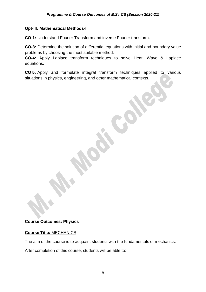#### **Opt-III: Mathematical Methods-II**

**CO-1:** Understand Fourier Transform and inverse Fourier transform.

**CO-3:** Determine the solution of differential equations with initial and boundary value problems by choosing the most suitable method.

**CO-4:** Apply Laplace transform techniques to solve Heat, Wave & Laplace equations.

**CO 5:** Apply and formulate integral transform techniques applied to various situations in physics, engineering, and other mathematical contexts.

#### **Course Outcomes: Physics**

#### **Course Title:** MECHANICS

The aim of the course is to acquaint students with the fundamentals of mechanics.

After completion of this course, students will be able to: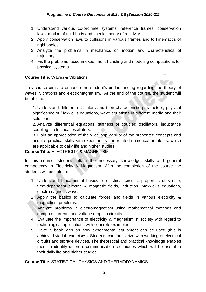- 1. Understand various co-ordinate systems, reference frames, conservation laws, motion of rigid body and special theory of relativity.
- 2. Apply conservation laws to collisions in various frames and to kinematics of rigid bodies.
- 3. Analyze the problems in mechanics on motion and characteristics of trajectory.
- 4. Fix the problems faced in experiment handling and modeling computations for physical systems.

#### **Course Title:** Waves & Vibrations

This course aims to enhance the student's understanding regarding the theory of waves, vibrations and electromagnetism. At the end of the course, the student will be able to:

1. Understand different oscillators and their characteristic parameters, physical significance of Maxwell's equations, wave equations in different media and their solutions.

2. Analyze differential equations, stiffness of coupled oscillators, inductance coupling of electrical oscillators.

3. Gain an appreciation of the wide applicability of the presented concepts and acquire practical skills with experiments and related numerical problems, which are applicable to daily life and higher studies.

#### **Course Title:** ELECTRICITY & MAGNETISM

In this course, students attain the necessary knowledge, skills and general competency in Electricity & Magnetism. With the completion of the course the students will be able to:

- 1. Understand fundamental basics of electrical circuits, properties of simple, time-dependent electric & magnetic fields, induction, Maxwell's equations, electromagnetic waves.
- 2. Apply the basics to calculate forces and fields in various electricity & magnetism problems.
- 3. Analyze problems in electromagnetism using mathematical methods and compute currents and voltage drops in circuits.
- 4. Evaluate the importance of electricity & magnetism in society with regard to technological applications with concrete examples.
- 5. Have a basic grip on how experimental equipment can be used (this is achieved via lab-exercises). Students can familiarize with working of electrical circuits and storage devices. The theoretical and practical knowledge enables them to identify different communication techniques which will be useful in their daily life and higher studies.

#### **Course Title**: STATISTICAL PHYSICS AND THERMODYNAMICS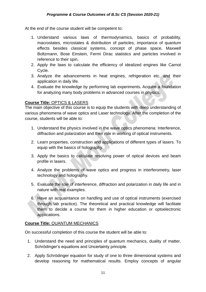At the end of the course student will be competent to:

- 1. Understand various laws of thermodynamics, basics of probability, macrostates, microstates & distribution of particles, importance of quantum effects besides classical systems, concept of phase space, Maxwell Boltzmann, Bose Einstein, Fermi Dirac statistics and particles involved in reference to their spin.
- 2. Apply the laws to calculate the efficiency of idealized engines like Carnot Cycle.
- 3. Analyze the advancements in heat engines, refrigeration etc. and their application in daily life.
- 4. Evaluate the knowledge by performing lab experiments. Acquire a foundation for analyzing many body problems in advanced courses in physics.

#### **Course Title:** OPTICS & LASERS

The main objective of this course is to equip the students with deep understanding of various phenomena of wave optics and Laser technology. After the completion of the course, students will be able to:

- 1. Understand the physics involved in the wave optics phenomena: Interference, diffraction and polarization and their role in working of optical instruments.
- 2. Learn properties, construction and applications of different types of lasers. To equip with the basics of holography.
- 3. Apply the basics to calculate resolving power of optical devices and beam profile in lasers.
- 4. Analyze the problems of wave optics and progress in interferometry, laser technology and holography.
- 5. Evaluate the role of interference, diffraction and polarization in daily life and in nature with real examples.
- 6. Have an acquaintance on handling and use of optical instruments (exercised through lab practice). The theoretical and practical knowledge will facilitate them to decide a course for them in higher education or optoelectronic applications.

#### **Course Title:** QUANTUM MECHANICS

On successful completion of this course the student will be able to:

- 1. Understand the need and principles of quantum mechanics, duality of matter, Schrödinger's equations and Uncertainty principle.
- 2. Apply Schrödinger equation for study of one to three dimensional systems and develop reasoning for mathematical results. Employ concepts of angular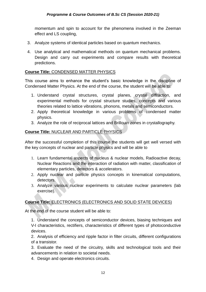momentum and spin to account for the phenomena involved in the Zeeman effect and LS coupling,

- 3. Analyze systems of identical particles based on quantum mechanics.
- 4. Use analytical and mathematical methods on quantum mechanical problems. Design and carry out experiments and compare results with theoretical predictions.

#### **Course Title:** CONDENSED MATTER PHYSICS

This course aims to enhance the student's basic knowledge in the discipline of Condensed Matter Physics. At the end of the course, the student will be able to:

- 1. Understand crystal structures, crystal planes, crystal diffraction, and experimental methods for crystal structure studies, concepts and various theories related to lattice vibrations, phonons, metals and semiconductors.
- 2. Apply theoretical knowledge in various problems of condensed matter physics.
- 3. Analyze the role of reciprocal lattices and Brillouin zones in crystallography.

#### **Course Title:** NUCLEAR AND PARTICLE PHYSICS

After the successful completion of this course the students will get well versed with the key concepts of nuclear and particle physics and will be able to

- 1. Learn fundamental aspects of nucleus & nuclear models, Radioactive decay, Nuclear Reactions and the interaction of radiation with matter, classification of elementary particles, detectors & accelerators.
- 2. Apply nuclear and particle physics concepts in kinematical computations, detectors.
- 3. Analyze various nuclear experiments to calculate nuclear parameters (lab exercise).

#### **Course Title:** ELECTRONICS (ELECTRONICS AND SOLID STATE DEVICES)

At the end of the course student will be able to:

1. Understand the concepts of semiconductor devices, biasing techniques and V-I characteristics, rectifiers, characteristics of different types of photoconductive devices.

2. Analysis of efficiency and ripple factor in filter circuits, different configurations of a transistor.

3. Evaluate the need of the circuitry, skills and technological tools and their advancements in relation to societal needs.

4. Design and operate electronics circuits.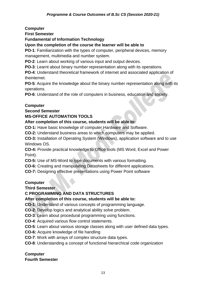**Computer**

**First Semester**

**Fundamental of Information Technology**

**Upon the completion of the course the learner will be able to**

**PO-1**: Familiarization with the types of computer, peripheral devices, memory management, multimedia and number system.

**PO-2**: Learn about working of various input and output devices.

**PO-3**: Learnt about binary number representation along with its operations.

**PO-4**: Understand theoretical framework of internet and associated application of theinternet.

**PO-5**: Acquire the knowledge about the binary number representation along with its operations.

**PO-6**: Understand of the role of computers in business, education and society.

#### **Computer**

**Second Semester**

#### **MS-OFFICE AUTOMATION TOOLS**

#### **After completion of this course, students will be able to:**

**CO-1:** Have basic knowledge of computer Hardware and Software.

**CO-2:** Understand business areas to which computers may be applied.

**CO-3:** Installation of Operating System (Windows), application software and to use Windows OS.

**CO-4:** Provide practical knowledge to Office tools (MS Word, Excel and Power Point).

**CO-5:** Use of MS-Word to type documents with various formatting.

**CO-6:** Creating and manipulating Datasheets for different applications.

**CO-7:** Designing effective presentations using Power Point software

#### **Computer**

**Third Semester**

#### **C PROGRAMMING AND DATA STRUCTURES**

#### **After completion of this course, students will be able to:**

**CO-1**: Understand of various concepts of programming language.

**CO-2**: Develop logics and analytical ability solve problem.

**CO-3**: Learn about procedural programming using functions.

**CO-4**: Acquired various flow control statements.

**CO-5**: Learn about various storage classes along with user defined data types.

**CO-6:** Acquire knowledge of file handling

**CO-7**: Work with arrays of complex structure data types.

**CO-8**: Understanding a concept of functional hierarchical code organization

#### **Computer Fourth Semester**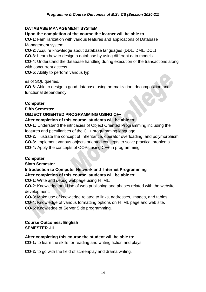#### *Programme & Course Outcomes of B.Sc CS (Session 2020-21)*

#### **DATABASE MANAGEMENT SYSTEM**

#### **Upon the completion of the course the learner will be able to**

**CO-1**: Familiarization with various features and applications of Database Management system.

**CO-2**: Acquire knowledge about database languages (DDL, DML, DCL)

**CO-3**: Learn how to design a database by using different data models.

**CO-4**: Understand the database handling during execution of the transactions along with concurrent access.

**CO-5**: Ability to perform various typ

es of SQL queries.

**CO-6**: Able to design a good database using normalization, decomposition and functional dependency

#### **Computer**

**Fifth Semester**

#### **OBJECT ORIENTED PROGRAMMING USING C++**

#### **After completion of this course, students will be able to:**

**CO-1:** Understand the intricacies of Object Oriented Programming including the features and peculiarities of the C++ programming language.

**CO-2:** Illustrate the concept of Inheritance, operator overloading, and polymorphism.

**CO-3:** Implement various objects oriented concepts to solve practical problems.

**CO-4:** Apply the concepts of OOPs using C++ in programming.

#### **Computer**

**Sixth Semester**

# **Introduction to Computer Network and Internet Programming**

**After completion of this course, students will be able to:**

**CO-1**: Write and debug webpage using HTML.

**CO-2**: Knowledge and Use of web publishing and phases related with the website development.

**CO-3**: Make use of knowledge related to links, addresses, images, and tables.

**CO-4**: Knowledge of various formatting options on HTML page and web site.

**CO-5**: Knowledge of Server Side programming.

#### **Course Outcomes: English SEMESTER -III**

#### **After completing this course the student will be able to:**

**CO-1:** to learn the skills for reading and writing fiction and plays.

**CO-2:** to go with the field of screenplay and drama writing.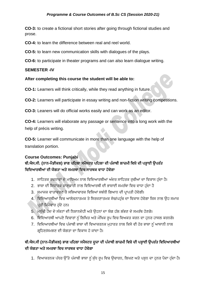**CO-3:** to create a fictional short stories after going through fictional studies and prose.

**CO-4:** to learn the difference between real and reel world.

**CO-5:** to learn new communication skills with dialogues of the plays.

**CO-6:** to participate in theater programs and can also learn dialogue writing.

#### **SEMESTER -IV**

#### **After completing this course the student will be able to:**

**CO-1:** Learners will think critically, while they read anything in future.

**CO-2:** Learners will participate in essay writing and non-fiction writing competitions.

**CO-3:** Leaners will do official works easily and can work as an editor.

**CO-4:** Learners will elaborate any passage or sentence into a long work with the help of précis writing.

**CO-5:** Learner will communicate in more than one language with the help of translation portion.

#### **Course Outcomes: Punjabi**

## ਬੀ**.**ਐਸ**.**ਸੀ**. (**ਨਾਨ**-**ਮੈਡੀਕਲ**)** ਭਾਗ ਪਹਿਲਾ ਸਮੈਸਟਰ ਪਹਿਲਾ ਦੀ ਪੰਜਾਬੀ ਲਾਜ਼ਮੀ ਹਿਸ਼ੇਦੀ ਪੜ੍ਹਾਈ ਉਪਰੰਤ ਵਿਦਿਆਰਥੀਆਂ ਦੀ ਯੋਗਤਾ ਅਤੇ ਸਮਰਥਾ ਵਿਚ ਸਾਰਥਕ ਵਾਧਾ ਹੋਵੇਗਾ

- 1. ਸਾਹਿਤਕ ਰਚਨਾਵਾਂ ਦੇ ਮਾਧਿਅਮ ਨਾਲ ਵਿਦਿਆਰਥੀਆਂ ਅੰਦਰ ਸਾਹਿਤਕ ਰੁਚੀਆਂ ਦਾ ਵਿਕਾਸ ਹੁੰਦਾ ਹੈ।
- 2. ਭਾਸ਼ਾ ਦੀ ਸਿਧਾਂਤਕ ਜਾਣਕਾਰੀ ਨਾਲ ਵਿਦਿਆਰਥੀ ਦੀ ਭਾਸ਼ਾਈ ਸਮਰੱਥਾ ਵਿਚ ਵਾਧਾ ਹੁੰਦਾ ਹੈ
- 3. ਸਮਾਜਕ ਵਾਤਾਵਰਣ ਤੇ ਸਭਿਆਚਾਰਕ ਵਿਸ਼ਿਆਂ ਸਬੰਧੀ ਗਿਆਨ ਦੀ ਪਾਪਤੀ ਹੋਵੇਗੀ।
- 4.ੰ ਵਿਦਿਆਰਥੀਆਂ ਵਿਚ ਆਲੋਚਨਾਤਮਕ ਤੇ ਸਿਰਜਣਾਤਮਕ ਸੋਚ/ਪਹੁੰਚ ਦਾ ਵਿਕਾਸ ਹੋਵੇਗਾ ਜਿਸ ਨਾਲ ਉਹ ਸਮਾਜ ਪਤੀ ਜਿੰਮੇਵਾਰ ਹੁੰਦੇ ਹਨ।
- 5. ਮਨੁੱਖੀ ਹੋਂਦ ਦੇ ਸੰਕਟਾਂ ਦੀ ਨਿਸ਼ਾਨਦੇਹੀ ਅਤੇ ਉਹਨਾਂ ਦਾ ਯੋਗ ਹੱਲ ਲੱਭਣ ਦੇ ਸਮਰੱਥ ਹੋਣਗੇ।
- 6. ਵਿਦਿਆਰਥੀ ਆਪਣੇ ਵਿਚਾਰਾਂ ਨੰ ਲਿਖਿਤ ਅਤੇ ਮੌਖਿਕ ਰਪ ਵਿਚ ਵਿਅਕਤ ਕਰਨ ਦਾ ਹਨਰ ਹਾਸਲ ਕਰਨਗੇ।
- 7. ਵਿਦਿਆਰਥੀਆਂ ਵਿਚ ਪੰਜਾਬੀ ਭਾਸ਼ਾ ਦੀ ਵਿਆਕਰਨਕ ਮਹਾਰਤ ਨਾਲ ਕਿਸੇ ਵੀ ਹੋਰ ਭਾਸ਼ਾ ਨੂੰ ਆਸਾਨੀ ਨਾਲ ਗ੍ਰਹਿਣ/ਸਮਝਣ ਦੀ ਯੋਗਤਾ ਦਾ ਵਿਕਾਸ ਹੋ ਜਾਂਦਾ ਹੈ।

# ਬੀ**.**ਐਸ**.**ਸੀ **(**ਨਾਨ**-**ਮੈਡੀਕਲ**)** ਭਾਗ ਪਹਿਲਾ ਸਮੈਸਟਰ ਦ ਜਾ ਦੀ ਪੰਜਾਬੀ ਲਾਜ਼ਮੀ ਹਿਸ਼ੇਦੀ ਪੜ੍ਹਾਈ ਉਪਰੰਤ ਹਿਹਦਆਰਥੀਆਂ ਦੀ ਯੋਗਤਾ ਅਤੇ ਸਮਰਥਾ ਵਿਚ ਸਾਰਥਕ ਵਾਧਾ ਹੋਵੇਗਾ

1. ਵਿਆਕਰਨਕ ਪੱਧਰ ਉੱਤੇ ਪੰਜਾਬੀ ਭਾਸ਼ਾ ਨੂੰ ਸ਼ੁੱਧ ਰੂਪ ਵਿਚ ਉਚਾਰਨ, ਲਿਖਣ ਅਤੇ ਪੜ੍ਹਨ ਦਾ ਹੁਨਰ ਪੈਦਾ ਹੁੰਦਾ ਹੈ।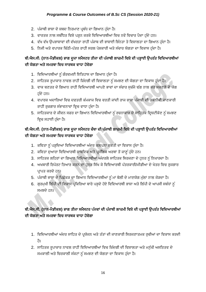#### *Programme & Course Outcomes of B.Sc CS (Session 2020-21)*

- 2. ਪੰਜਾਬੀ ਭਾਸ਼ਾ ਦੇ ਸ਼ਬਦ ਨਿਰਮਾਣ ਪ੍ਰਬੰਧ ਦਾ ਗਿਆਨ ਹੰਦਾ ਹੈ।
- 3. ਵਾਰਤਕ ਨਾਲ ਸਬੰਧਿਤ ਵਿਸ਼ੇ ਪੜ੍ਹਨ ਕਰਕੇ ਵਿਦਿਆਰਥੀਆਂ ਵਿਚ ਨਵੇਂ ਵਿਚਾਰ ਪੈਦਾ ਹੁੰਦੇ ਹਨ।
- 4. ਵੱਖ ਵੱਖ ਉਪਭਾਸ਼ਾਵਾਂ ਦੀ ਵੱਖਰਤਾ ਰਾਹੀਂ ਪੰਜਾਬ ਦੀ ਭਾਸ਼ਾਈ ਭਿੰਨਤਾ ਤੇ ਵਿਸ਼ਾਲਤਾ ਦਾ ਗਿਆਨ ਹੰਦਾ ਹੈ।
- 5. ਨਿਜੀ ਅਤੇ ਵਪਾਰਕ ਚਿੱਠੀ-ਪੱਤਰ ਰਾਹੀਂ ਸਰਲ ਪੇਸ਼ਕਾਰੀ ਅਤੇ ਸੰਚਾਰ ਯੋਗਤਾ ਦਾ ਵਿਕਾਸ ਹੰਦਾ ਹੈ।

# ਬੀ**.**ਐਸ**.**ਸੀ**. (**ਨਾਨ**-**ਮੈਡੀਕਲ**)** ਭਾਗ ਦ ਜਾ ਸਮੈਸਟਰ ਤੀਜਾ ਦੀ ਪੰਜਾਬੀ ਲਾਜ਼ਮੀ ਹਿਸ਼ੇਦੀ ਪੜ੍ਹਾਈ ਉਪਰੰਤ ਹਿਹਦਆਰਥੀਆਂ ਦੀ ਯੋਗਤਾ ਅਤੇ ਸਮਰਥਾ ਵਿਚ ਸਾਰਥਕ ਵਾਧਾ ਹੋਵੇਗਾ

- 1. ਵਿਦਿਆਰਥੀਆਂ ਨੂੰ ਗੌਰਵਮਈ ਇਤਿਹਾਸ ਦਾ ਗਿਆਨ ਹੁੰਦਾ ਹੈ।
- 2. ਸਾਹਿਤਕ ਰੁਪਾਕਾਰ ਨਾਵਲ ਰਾਹੀਂ ਜ਼ਿੰਦਗੀ ਦੀ ਵਿਸ਼ਾਲਤਾ ਨੂੰ ਸਮਝਣ ਦੀ ਯੋਗਤਾ ਦਾ ਵਿਕਾਸ ਹੁੰਦਾ ਹੈ।
- 3. ਵਾਕ ਬਣਤਰ ਦੇ ਗਿਆਨ ਰਾਹੀਂ ਵਿਦਿਆਰਥੀ ਆਪਣੇ ਭਾਵਾਂ ਦਾ ਸੰਚਾਰ ਸਚੱਜੇ ਢੰਗ ਨਾਲ ਕਰ ਸਕਣਗੇ ਦੇ ਯੋਗ ਹੰਦੇ ਹਨ।
- 4. ਵਪਾਰਕ ਅਦਾਰਿਆਂ ਵਿਚ ਦਫ਼ਤਰੀ ਕੰਮਕਾਜ ਵਿਚ ਵਰਤੀ ਜਾਂਦੀ ਰਾਜ ਭਾਸ਼ਾ ਪੰਜਾਬੀ ਦੀ ਤਕਨੀਕੀ ਜਾਣਕਾਰੀ ਰਾਹੀਂ ਰੁਜ਼ਗਾਰ ਸੰਭਾਵਨਾਵਾਂ ਵਿਚ ਵਾਧਾ ਹੁੰਦਾ ਹੈ।
- 5. ਸਾਹਿਤਕਾਰ ਦੇ ਜੀਵਨ ਸਫ਼ਰ ਦਾ ਗਿਆਨ ਵਿਦਿਆਰਥੀਆਂ ਨੂੰ ਰਚਨਾਕਾਰ ਦੇ ਸਾਹਿਤਕ ਦ੍ਰਿਸ਼ਟੀਕੋਣ ਨੂੰ ਸਮਝਣ ਵਿਚ ਸਹਾਈ ਹੰਦਾ ਹੈ।

# ਬੀ**.**ਐਸ**.**ਸੀ**. (**ਨਾਨ**-**ਮੈਡੀਕਲ**)** ਭਾਗ ਦ ਜਾ ਸਮੈਸਟਰ ਚੌਥਾ ਦੀ ਪੰਜਾਬੀ ਲਾਜ਼ਮੀ ਹਿਸ਼ੇਦੀ ਪੜ੍ਹਾਈ ਉਪਰੰਤ ਹਿਹਦਆਰਥੀਆਂ ਦੀ ਯੋਗਤਾ ਅਤੇ ਸਮਰਥਾ ਵਿਚ ਸਾਰਥਕ ਵਾਧਾ ਹੋਵੇਗਾ

- 1. ਕਵਿਤਾ ਨੂੰ ਪੜ੍ਹਦਿਆਂ ਵਿਦਿਆਰਥੀਆਂ ਅੰਦਰ ਕਲਪਨਾ ਸ਼ਕਤੀ ਦਾ ਵਿਕਾਸ ਹੁੰਦਾ ਹੈ।
- 2. ਕਵਿਤਾ ਦੁਆਰਾ ਵਿਦਿਆਰਥੀ ਸ਼ਾਬਦਿਕ ਅਤੇ ਪ੍ਰਸੰਗਿਕ ਅਰਥਾਂ ਤੋਂ ਜਾਣੂੰ ਹੁੰਦੇ ਹਨ।
- 3. ਸਾਹਿਤਕ ਲਹਿਰਾਂ ਦਾ ਗਿਆਨ ਵਿਦਿਆਰਥੀਆਂ ਅੰਦਰਲੇ ਸਾਹਿਤਕ ਸਿਰਜਣਾ ਦੇ ਹਨਰ ਨੂੰ ਨਿਖਾਰਦਾ ਹੈ।
- 4. ਅਖਬਾਰੀ ਰਿਪੋਰਟ ਤਿਆਰ ਕਰਨ ਦਾ ਹਨਰ ਸਿੱਖ ਕੇ ਵਿਦਿਆਰਥੀ ਪੱਤਰਕਾਰੀ/ਮੀਡੀਆ ਦੇ ਖੇਤਰ ਵਿਚ ਰਜਗਾਰ ਪ੍ਰਾਪਤ ਕਰਦੇ ਹਨ।
- 5. ਪੰਜਾਬੀ ਭਾਸ਼ਾ ਦੇ ਪਿਛੋਕੜ ਦਾ ਗਿਆਨ ਵਿਦਿਆਰਥੀਆਂ ਨੂੰ ਮਾਂ ਬੋਲੀ ਦੇ ਮਾਣਯੋਗ ਮੱਲਾਂ ਨਾਲ ਜੋੜਦਾ ਹੈ।
- 6. ਗੁਰਮੁਖੀ ਲਿੱਪੀ ਦੀ ਵਿਕਾਸ ਪ੍ਰਕਿਰਿਆ ਬਾਰੇ ਪੜ੍ਹਦੇ ਹੋਏ ਵਿਦਿਆਰਥੀ ਭਾਸ਼ਾ ਅਤੇ ਲਿੱਪੀ ਦੇ ਆਪਸੀ ਸਬੰਧਾਂ ਨੂੰ ਸਮਝਦੇ ਹਨ।

# ਬੀ**.**ਐਸ**.**ਸੀ**. (**ਨਾਨ**-**ਮੈਡੀਕਲ**)** ਭਾਗ ਤੀਜਾ ਸਮੈਸਟਰ ਪੰਜਿਾਂ ਦੀ ਪੰਜਾਬੀ ਲਾਜ਼ਮੀ ਹਿਸ਼ੇਦੀ ਪੜ੍ਹਾਈ ਉਪਰੰਤ ਹਿਹਦਆਰਥੀਆਂ ਦੀ ਯੋਗਤਾ ਅਤੇ ਸਮਰਥਾ ਵਿਚ ਸਾਰਥਕ ਵਾਧਾ ਹੋਵੇਗਾ

- 1. ਵਿਦਿਆਰਥੀਆਂ ਅੰਦਰ ਸਾਹਿਤ ਦੇ ਪਯੋਜਨ ਅਤੇ ਤੱਤਾਂ ਦੀ ਜਾਣਕਾਰੀ ਸਿਰਜਣਾਤਮਕ ਰਚੀਆਂ ਦਾ ਵਿਕਾਸ ਕਰਦੀ ਿੈ।
- 2. ਸਾਹਿਤਕ ਰੁਪਾਕਾਰ ਨਾਵਲ ਰਾਹੀਂ ਵਿਦਿਆਰਥੀਆਂ ਵਿਚ ਜ਼ਿੰਦਗੀ ਦੀ ਵਿਸ਼ਾਲਤਾ ਅਤੇ ਮਨੁੱਖੀ ਅਸਤਿਤਵ ਦੇ ਸਮਕਾਲੀ ਅਤੇ ਚਿਰਕਾਲੀ ਸੰਕਟਾਂ ਨੂੰ ਸਮਝਣ ਦੀ ਯੋਗਤਾ ਦਾ ਵਿਕਾਸ ਹੁੰਦਾ ਹੈ।